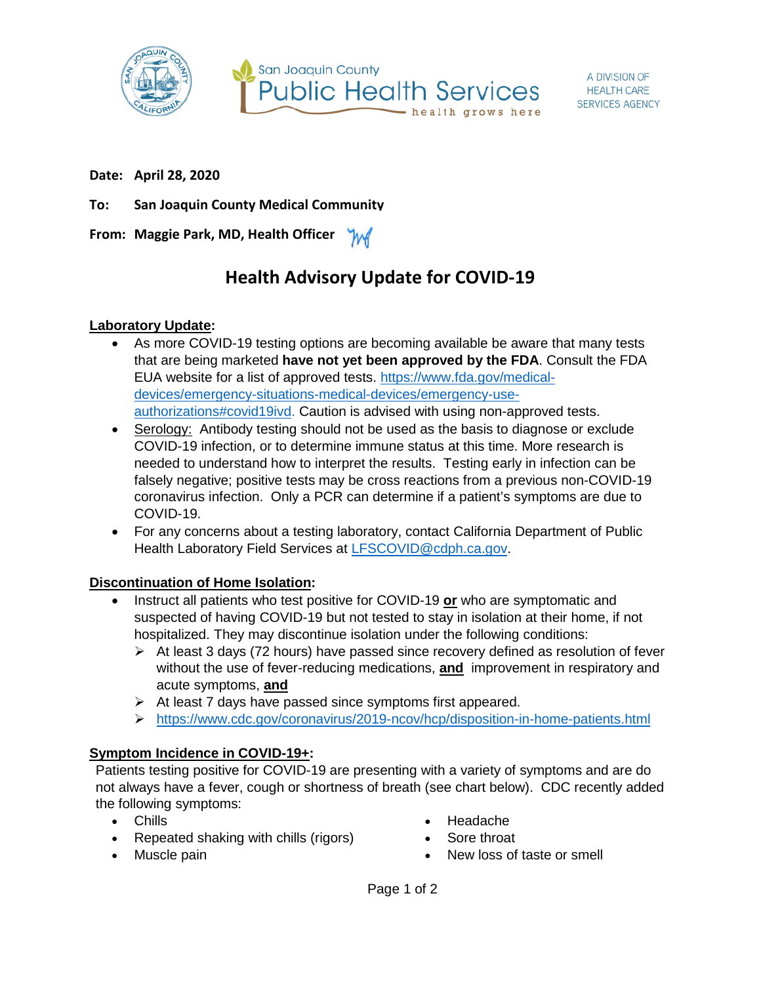



**Date: April 28, 2020**

**To: San Joaquin County Medical Community**

**From: Maggie Park, MD, Health Officer** M

# **Health Advisory Update for COVID-19**

## **Laboratory Update:**

- As more COVID-19 testing options are becoming available be aware that many tests that are being marketed **have not yet been approved by the FDA**. Consult the FDA EUA website for a list of approved tests. [https://www.fda.gov/medical](https://www.fda.gov/medical-devices/emergency-situations-medical-devices/emergency-use-authorizations#covid19ivd)[devices/emergency-situations-medical-devices/emergency-use](https://www.fda.gov/medical-devices/emergency-situations-medical-devices/emergency-use-authorizations#covid19ivd)[authorizations#covid19ivd.](https://www.fda.gov/medical-devices/emergency-situations-medical-devices/emergency-use-authorizations#covid19ivd) Caution is advised with using non-approved tests.
- Serology: Antibody testing should not be used as the basis to diagnose or exclude COVID-19 infection, or to determine immune status at this time. More research is needed to understand how to interpret the results. Testing early in infection can be falsely negative; positive tests may be cross reactions from a previous non-COVID-19 coronavirus infection. Only a PCR can determine if a patient's symptoms are due to COVID-19.
- For any concerns about a testing laboratory, contact California Department of Public Health Laboratory Field Services at [LFSCOVID@cdph.ca.gov.](mailto:LFSCOVID@cdph.ca.gov)

### **Discontinuation of Home Isolation:**

- Instruct all patients who test positive for COVID-19 **or** who are symptomatic and suspected of having COVID-19 but not tested to stay in isolation at their home, if not hospitalized. They may discontinue isolation under the following conditions:
	- $\triangleright$  At least 3 days (72 hours) have passed since recovery defined as resolution of fever without the use of fever-reducing medications, **and** improvement in respiratory and acute symptoms, **and**
	- $\triangleright$  At least 7 days have passed since symptoms first appeared.
	- <https://www.cdc.gov/coronavirus/2019-ncov/hcp/disposition-in-home-patients.html>

# **Symptom Incidence in COVID-19+:**

Patients testing positive for COVID-19 are presenting with a variety of symptoms and are do not always have a fever, cough or shortness of breath (see chart below). CDC recently added the following symptoms:

- Chills
- Repeated shaking with chills (rigors)
- Muscle pain
- Headache
- Sore throat
- New loss of taste or smell